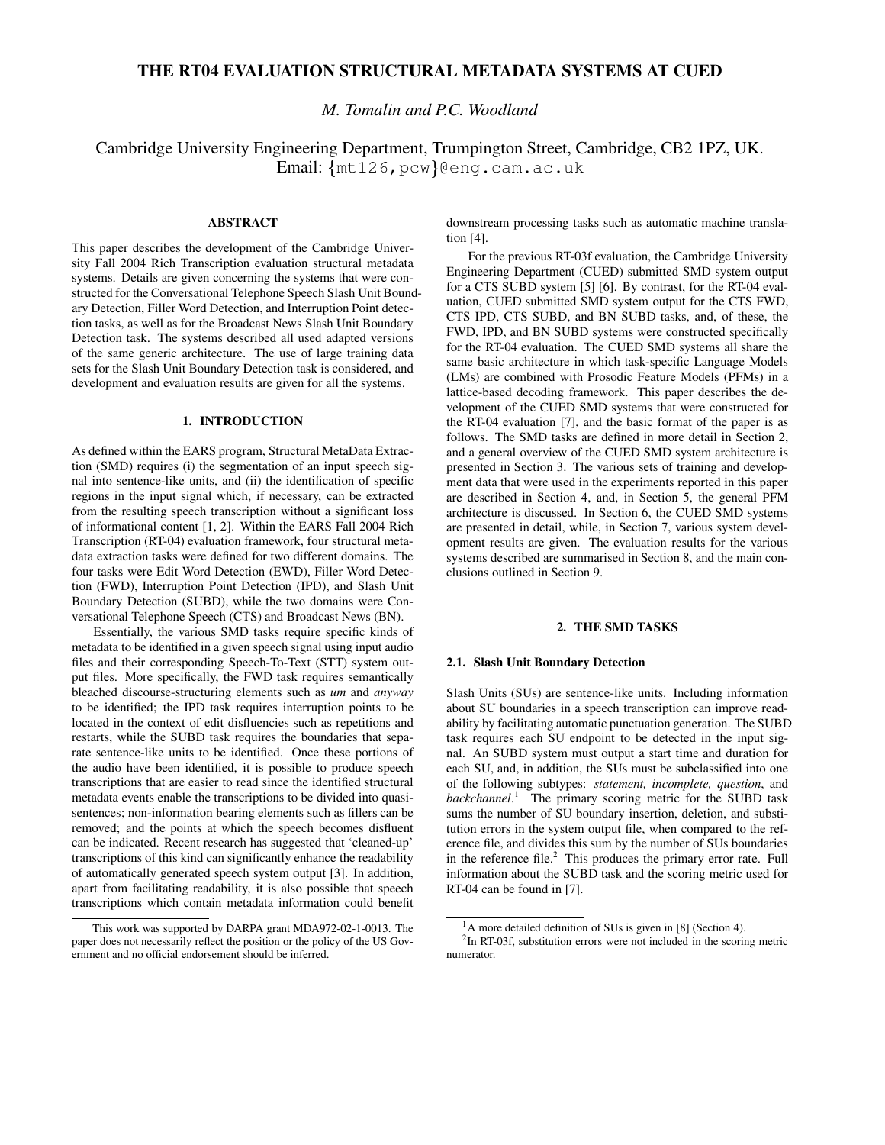# **THE RT04 EVALUATION STRUCTURAL METADATA SYSTEMS AT CUED**

*M. Tomalin and P.C. Woodland*

# Cambridge University Engineering Department, Trumpington Street, Cambridge, CB2 1PZ, UK. Email: mt126,pcw @eng.cam.ac.uk

# **ABSTRACT**

This paper describes the development of the Cambridge University Fall 2004 Rich Transcription evaluation structural metadata systems. Details are given concerning the systems that were constructed for the Conversational Telephone Speech Slash Unit Boundary Detection, Filler Word Detection, and Interruption Point detection tasks, as well as for the Broadcast News Slash Unit Boundary Detection task. The systems described all used adapted versions of the same generic architecture. The use of large training data sets for the Slash Unit Boundary Detection task is considered, and development and evaluation results are given for all the systems.

## **1. INTRODUCTION**

As defined within the EARS program, Structural MetaData Extraction (SMD) requires (i) the segmentation of an input speech signal into sentence-like units, and (ii) the identification of specific regions in the input signal which, if necessary, can be extracted from the resulting speech transcription without a significant loss of informational content [1, 2]. Within the EARS Fall 2004 Rich Transcription (RT-04) evaluation framework, four structural metadata extraction tasks were defined for two different domains. The four tasks were Edit Word Detection (EWD), Filler Word Detection (FWD), Interruption Point Detection (IPD), and Slash Unit Boundary Detection (SUBD), while the two domains were Conversational Telephone Speech (CTS) and Broadcast News (BN).

Essentially, the various SMD tasks require specific kinds of metadata to be identified in a given speech signal using input audio files and their corresponding Speech-To-Text (STT) system output files. More specifically, the FWD task requires semantically bleached discourse-structuring elements such as *um* and *anyway* to be identified; the IPD task requires interruption points to be located in the context of edit disfluencies such as repetitions and restarts, while the SUBD task requires the boundaries that separate sentence-like units to be identified. Once these portions of the audio have been identified, it is possible to produce speech transcriptions that are easier to read since the identified structural metadata events enable the transcriptions to be divided into quasisentences; non-information bearing elements such as fillers can be removed; and the points at which the speech becomes disfluent can be indicated. Recent research has suggested that 'cleaned-up' transcriptions of this kind can significantly enhance the readability of automatically generated speech system output [3]. In addition, apart from facilitating readability, it is also possible that speech transcriptions which contain metadata information could benefit downstream processing tasks such as automatic machine translation [4].

For the previous RT-03f evaluation, the Cambridge University Engineering Department (CUED) submitted SMD system output for a CTS SUBD system [5] [6]. By contrast, for the RT-04 evaluation, CUED submitted SMD system output for the CTS FWD, CTS IPD, CTS SUBD, and BN SUBD tasks, and, of these, the FWD, IPD, and BN SUBD systems were constructed specifically for the RT-04 evaluation. The CUED SMD systems all share the same basic architecture in which task-specific Language Models (LMs) are combined with Prosodic Feature Models (PFMs) in a lattice-based decoding framework. This paper describes the development of the CUED SMD systems that were constructed for the RT-04 evaluation [7], and the basic format of the paper is as follows. The SMD tasks are defined in more detail in Section 2, and a general overview of the CUED SMD system architecture is presented in Section 3. The various sets of training and development data that were used in the experiments reported in this paper are described in Section 4, and, in Section 5, the general PFM architecture is discussed. In Section 6, the CUED SMD systems are presented in detail, while, in Section 7, various system development results are given. The evaluation results for the various systems described are summarised in Section 8, and the main conclusions outlined in Section 9.

# **2. THE SMD TASKS**

#### **2.1. Slash Unit Boundary Detection**

Slash Units (SUs) are sentence-like units. Including information about SU boundaries in a speech transcription can improve readability by facilitating automatic punctuation generation. The SUBD task requires each SU endpoint to be detected in the input signal. An SUBD system must output a start time and duration for each SU, and, in addition, the SUs must be subclassified into one of the following subtypes: *statement, incomplete, question*, and *backchannel*. <sup>1</sup> The primary scoring metric for the SUBD task sums the number of SU boundary insertion, deletion, and substitution errors in the system output file, when compared to the reference file, and divides this sum by the number of SUs boundaries in the reference file. $<sup>2</sup>$  This produces the primary error rate. Full</sup> information about the SUBD task and the scoring metric used for RT-04 can be found in [7].

This work was supported by DARPA grant MDA972-02-1-0013. The paper does not necessarily reflect the position or the policy of the US Government and no official endorsement should be inferred.

 $1<sup>1</sup>A$  more detailed definition of SUs is given in [8] (Section 4).

<sup>&</sup>lt;sup>2</sup>In RT-03f, substitution errors were not included in the scoring metric numerator.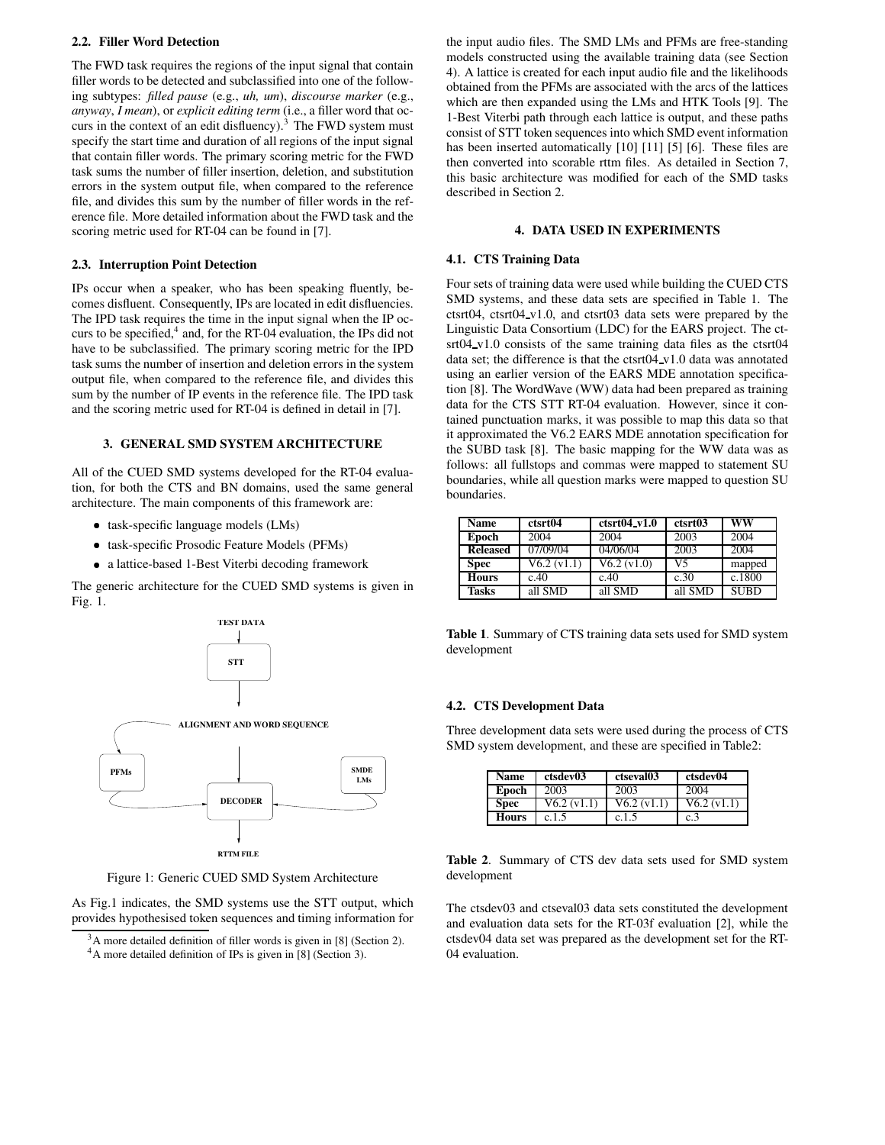## **2.2. Filler Word Detection**

The FWD task requires the regions of the input signal that contain filler words to be detected and subclassified into one of the following subtypes: *filled pause* (e.g., *uh, um*), *discourse marker* (e.g., *anyway*, *I mean*), or *explicit editing term* (i.e., a filler word that occurs in the context of an edit disfluency). $3$  The FWD system must specify the start time and duration of all regions of the input signal that contain filler words. The primary scoring metric for the FWD task sums the number of filler insertion, deletion, and substitution errors in the system output file, when compared to the reference file, and divides this sum by the number of filler words in the reference file. More detailed information about the FWD task and the scoring metric used for RT-04 can be found in [7].

# **2.3. Interruption Point Detection**

IPs occur when a speaker, who has been speaking fluently, becomes disfluent. Consequently, IPs are located in edit disfluencies. The IPD task requires the time in the input signal when the IP occurs to be specified,<sup>4</sup> and, for the RT-04 evaluation, the IPs did not have to be subclassified. The primary scoring metric for the IPD task sums the number of insertion and deletion errors in the system output file, when compared to the reference file, and divides this sum by the number of IP events in the reference file. The IPD task and the scoring metric used for RT-04 is defined in detail in [7].

# **3. GENERAL SMD SYSTEM ARCHITECTURE**

All of the CUED SMD systems developed for the RT-04 evaluation, for both the CTS and BN domains, used the same general architecture. The main components of this framework are:

- task-specific language models (LMs)
- task-specific Prosodic Feature Models (PFMs)
- a lattice-based 1-Best Viterbi decoding framework

The generic architecture for the CUED SMD systems is given in Fig. 1.



Figure 1: Generic CUED SMD System Architecture

As Fig.1 indicates, the SMD systems use the STT output, which provides hypothesised token sequences and timing information for the input audio files. The SMD LMs and PFMs are free-standing models constructed using the available training data (see Section 4). A lattice is created for each input audio file and the likelihoods obtained from the PFMs are associated with the arcs of the lattices which are then expanded using the LMs and HTK Tools [9]. The 1-Best Viterbi path through each lattice is output, and these paths consist of STT token sequences into which SMD event information has been inserted automatically [10] [11] [5] [6]. These files are then converted into scorable rttm files. As detailed in Section 7, this basic architecture was modified for each of the SMD tasks described in Section 2.

# **4. DATA USED IN EXPERIMENTS**

# **4.1. CTS Training Data**

Four sets of training data were used while building the CUED CTS SMD systems, and these data sets are specified in Table 1. The ctsrt04, ctsrt04 v1.0, and ctsrt03 data sets were prepared by the Linguistic Data Consortium (LDC) for the EARS project. The ctsrt04\_v1.0 consists of the same training data files as the ctsrt04 data set; the difference is that the ctsrt04 v1.0 data was annotated using an earlier version of the EARS MDE annotation specification [8]. The WordWave (WW) data had been prepared as training data for the CTS STT RT-04 evaluation. However, since it contained punctuation marks, it was possible to map this data so that it approximated the V6.2 EARS MDE annotation specification for the SUBD task [8]. The basic mapping for the WW data was as follows: all fullstops and commas were mapped to statement SU boundaries, while all question marks were mapped to question SU boundaries.

| Name            | ctsrt04     | $ctsrt04_v1.0$ | ctsrt03 | ww          |
|-----------------|-------------|----------------|---------|-------------|
| Epoch           | 2004        | 2004           | 2003    | 2004        |
| <b>Released</b> | 07/09/04    | 04/06/04       | 2003    | 2004        |
| Spec            | V6.2 (v1.1) | V6.2 (v1.0)    | V5      | mapped      |
| <b>Hours</b>    | c.40        | c.40           | c.30    | c.1800      |
| <b>Tasks</b>    | all SMD     | all SMD        | all SMD | <b>SUBD</b> |

**Table 1**. Summary of CTS training data sets used for SMD system development

# **4.2. CTS Development Data**

Three development data sets were used during the process of CTS SMD system development, and these are specified in Table2:

| Name        | ctsdev03                 | ctseval03   | ctsdev04    |
|-------------|--------------------------|-------------|-------------|
| Epoch       | 2003                     | 2003        | 2004        |
| <b>Spec</b> | $V6.2 \overline{(v1.1)}$ | V6.2 (v1.1) | V6.2 (v1.1) |
| Hours       | c.1.5                    | c.1.5       | c.3         |

**Table 2**. Summary of CTS dev data sets used for SMD system development

The ctsdev03 and ctseval03 data sets constituted the development and evaluation data sets for the RT-03f evaluation [2], while the ctsdev04 data set was prepared as the development set for the RT-04 evaluation.

 $3A$  more detailed definition of filler words is given in [8] (Section 2). <sup>4</sup>A more detailed definition of IPs is given in [8] (Section 3).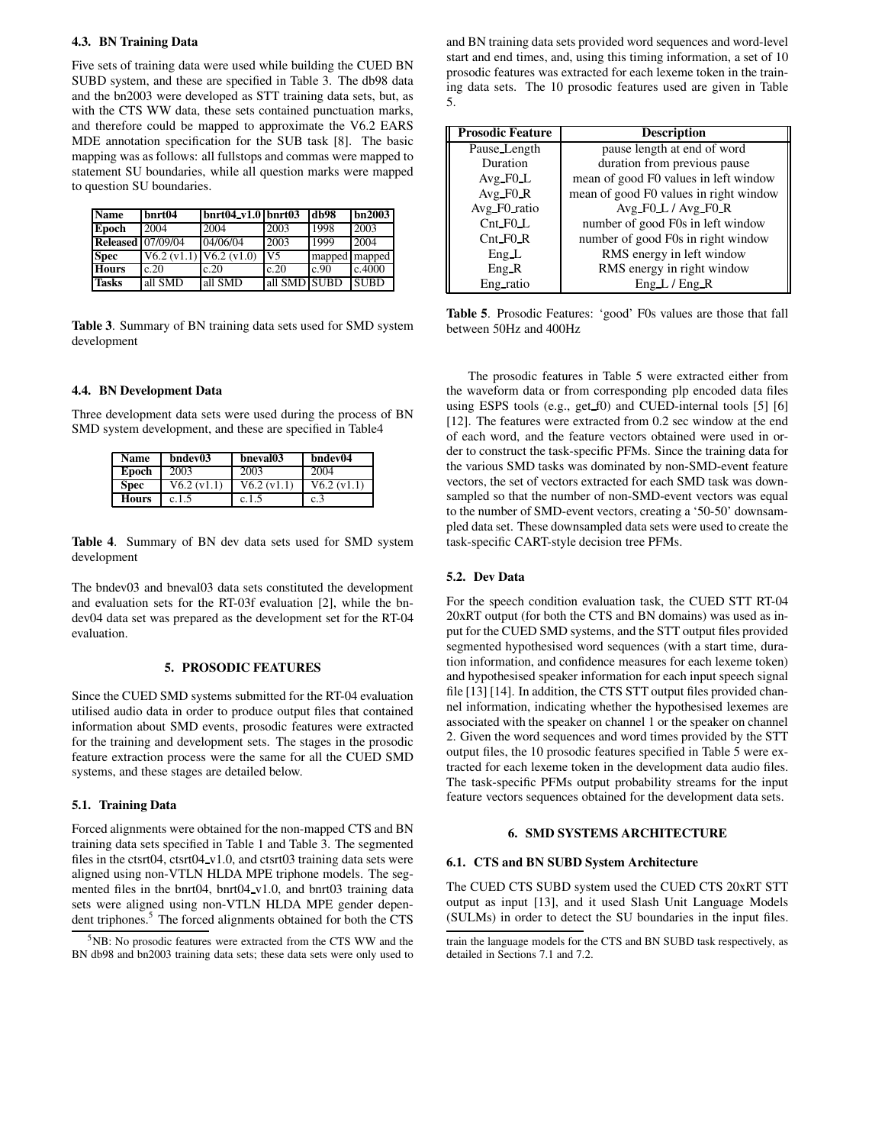## **4.3. BN Training Data**

Five sets of training data were used while building the CUED BN SUBD system, and these are specified in Table 3. The db98 data and the bn2003 were developed as STT training data sets, but, as with the CTS WW data, these sets contained punctuation marks, and therefore could be mapped to approximate the V6.2 EARS MDE annotation specification for the SUB task [8]. The basic mapping was as follows: all fullstops and commas were mapped to statement SU boundaries, while all question marks were mapped to question SU boundaries.

| Name                     | bnrt04      | $ bnrt04_v1.0 bnrt03$ |              | db98          | bn2003      |
|--------------------------|-------------|-----------------------|--------------|---------------|-------------|
| Epoch                    | 2004        | 2004                  | 2003         | 1998          | 2003        |
| <b>Released</b> 07/09/04 |             | 04/06/04              | 2003         | 1999          | 2004        |
| <b>Spec</b>              | V6.2 (v1.1) | V6.2 (v1.0)           | V5           | mapped mapped |             |
| <b>Hours</b>             | c.20        | c.20                  | c.20         | c.90          | c.4000      |
| <b>Tasks</b>             | all SMD     | all SMD               | all SMD SUBD |               | <b>SUBD</b> |

**Table 3**. Summary of BN training data sets used for SMD system development

### **4.4. BN Development Data**

Three development data sets were used during the process of BN SMD system development, and these are specified in Table4

| <b>Name</b>  | bndev03     | bneval03    | bndev04     |
|--------------|-------------|-------------|-------------|
| Epoch        | 2003        | 2003        | 2004        |
| <b>Spec</b>  | V6.2 (v1.1) | V6.2 (v1.1) | V6.2 (v1.1) |
| <b>Hours</b> | c.1.5       | c.1.5       | c.3         |

**Table 4**. Summary of BN dev data sets used for SMD system development

The bndev03 and bneval03 data sets constituted the development and evaluation sets for the RT-03f evaluation [2], while the bndev04 data set was prepared as the development set for the RT-04 evaluation.

# **5. PROSODIC FEATURES**

Since the CUED SMD systems submitted for the RT-04 evaluation utilised audio data in order to produce output files that contained information about SMD events, prosodic features were extracted for the training and development sets. The stages in the prosodic feature extraction process were the same for all the CUED SMD systems, and these stages are detailed below.

### **5.1. Training Data**

Forced alignments were obtained for the non-mapped CTS and BN training data sets specified in Table 1 and Table 3. The segmented files in the ctsrt04, ctsrt04 v1.0, and ctsrt03 training data sets were aligned using non-VTLN HLDA MPE triphone models. The segmented files in the bnrt04, bnrt04 v1.0, and bnrt03 training data sets were aligned using non-VTLN HLDA MPE gender dependent triphones.<sup>5</sup> The forced alignments obtained for both the CTS and BN training data sets provided word sequences and word-level start and end times, and, using this timing information, a set of 10 prosodic features was extracted for each lexeme token in the training data sets. The 10 prosodic features used are given in Table 5.

| <b>Prosodic Feature</b> | <b>Description</b>                     |
|-------------------------|----------------------------------------|
| Pause_Length            | pause length at end of word            |
| Duration                | duration from previous pause           |
| $Avg_F0_L$              | mean of good F0 values in left window  |
| $Avg_F0_R$              | mean of good F0 values in right window |
| Avg_F0_ratio            | $Avg_F0_L/Avg_F0_R$                    |
| $Cnt_F0_L$              | number of good F0s in left window      |
| $Cnt_F0_R$              | number of good F0s in right window     |
| Eng L                   | RMS energy in left window              |
| Eng R                   | RMS energy in right window             |
| Eng ratio               | Eng L / Eng R                          |

**Table 5**. Prosodic Features: 'good' F0s values are those that fall between 50Hz and 400Hz

The prosodic features in Table 5 were extracted either from the waveform data or from corresponding plp encoded data files using ESPS tools (e.g., get f0) and CUED-internal tools [5] [6] [12]. The features were extracted from 0.2 sec window at the end of each word, and the feature vectors obtained were used in order to construct the task-specific PFMs. Since the training data for the various SMD tasks was dominated by non-SMD-event feature vectors, the set of vectors extracted for each SMD task was downsampled so that the number of non-SMD-event vectors was equal to the number of SMD-event vectors, creating a '50-50' downsampled data set. These downsampled data sets were used to create the task-specific CART-style decision tree PFMs.

## **5.2. Dev Data**

For the speech condition evaluation task, the CUED STT RT-04 20xRT output (for both the CTS and BN domains) was used as input for the CUED SMD systems, and the STT output files provided segmented hypothesised word sequences (with a start time, duration information, and confidence measures for each lexeme token) and hypothesised speaker information for each input speech signal file [13] [14]. In addition, the CTS STT output files provided channel information, indicating whether the hypothesised lexemes are associated with the speaker on channel 1 or the speaker on channel 2. Given the word sequences and word times provided by the STT output files, the 10 prosodic features specified in Table 5 were extracted for each lexeme token in the development data audio files. The task-specific PFMs output probability streams for the input feature vectors sequences obtained for the development data sets.

# **6. SMD SYSTEMS ARCHITECTURE**

## **6.1. CTS and BN SUBD System Architecture**

The CUED CTS SUBD system used the CUED CTS 20xRT STT output as input [13], and it used Slash Unit Language Models (SULMs) in order to detect the SU boundaries in the input files.

<sup>&</sup>lt;sup>5</sup>NB: No prosodic features were extracted from the CTS WW and the BN db98 and bn2003 training data sets; these data sets were only used to

train the language models for the CTS and BN SUBD task respectively, as detailed in Sections 7.1 and 7.2.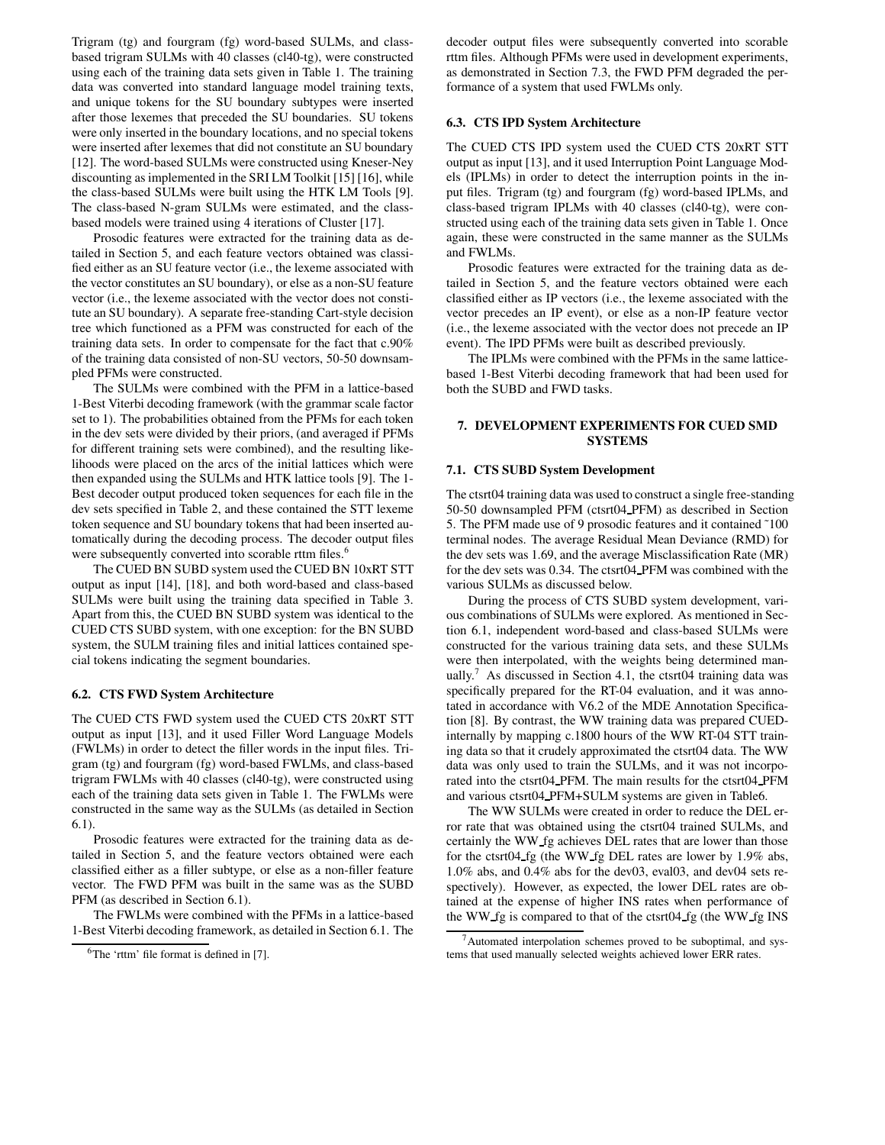Trigram (tg) and fourgram (fg) word-based SULMs, and classbased trigram SULMs with 40 classes (cl40-tg), were constructed using each of the training data sets given in Table 1. The training data was converted into standard language model training texts, and unique tokens for the SU boundary subtypes were inserted after those lexemes that preceded the SU boundaries. SU tokens were only inserted in the boundary locations, and no special tokens were inserted after lexemes that did not constitute an SU boundary [12]. The word-based SULMs were constructed using Kneser-Ney discounting as implemented in the SRI LM Toolkit [15] [16], while the class-based SULMs were built using the HTK LM Tools [9]. The class-based N-gram SULMs were estimated, and the classbased models were trained using 4 iterations of Cluster [17].

Prosodic features were extracted for the training data as detailed in Section 5, and each feature vectors obtained was classified either as an SU feature vector (i.e., the lexeme associated with the vector constitutes an SU boundary), or else as a non-SU feature vector (i.e., the lexeme associated with the vector does not constitute an SU boundary). A separate free-standing Cart-style decision tree which functioned as a PFM was constructed for each of the training data sets. In order to compensate for the fact that c.90% of the training data consisted of non-SU vectors, 50-50 downsampled PFMs were constructed.

The SULMs were combined with the PFM in a lattice-based 1-Best Viterbi decoding framework (with the grammar scale factor set to 1). The probabilities obtained from the PFMs for each token in the dev sets were divided by their priors, (and averaged if PFMs for different training sets were combined), and the resulting likelihoods were placed on the arcs of the initial lattices which were then expanded using the SULMs and HTK lattice tools [9]. The 1- Best decoder output produced token sequences for each file in the dev sets specified in Table 2, and these contained the STT lexeme token sequence and SU boundary tokens that had been inserted automatically during the decoding process. The decoder output files were subsequently converted into scorable rttm files.<sup>6</sup>

The CUED BN SUBD system used the CUED BN 10xRT STT output as input [14], [18], and both word-based and class-based SULMs were built using the training data specified in Table 3. Apart from this, the CUED BN SUBD system was identical to the CUED CTS SUBD system, with one exception: for the BN SUBD system, the SULM training files and initial lattices contained special tokens indicating the segment boundaries.

### **6.2. CTS FWD System Architecture**

The CUED CTS FWD system used the CUED CTS 20xRT STT output as input [13], and it used Filler Word Language Models (FWLMs) in order to detect the filler words in the input files. Trigram (tg) and fourgram (fg) word-based FWLMs, and class-based trigram FWLMs with 40 classes (cl40-tg), were constructed using each of the training data sets given in Table 1. The FWLMs were constructed in the same way as the SULMs (as detailed in Section 6.1).

Prosodic features were extracted for the training data as detailed in Section 5, and the feature vectors obtained were each classified either as a filler subtype, or else as a non-filler feature vector. The FWD PFM was built in the same was as the SUBD PFM (as described in Section 6.1).

The FWLMs were combined with the PFMs in a lattice-based 1-Best Viterbi decoding framework, as detailed in Section 6.1. The decoder output files were subsequently converted into scorable rttm files. Although PFMs were used in development experiments, as demonstrated in Section 7.3, the FWD PFM degraded the performance of a system that used FWLMs only.

### **6.3. CTS IPD System Architecture**

The CUED CTS IPD system used the CUED CTS 20xRT STT output as input [13], and it used Interruption Point Language Models (IPLMs) in order to detect the interruption points in the input files. Trigram (tg) and fourgram (fg) word-based IPLMs, and class-based trigram IPLMs with 40 classes (cl40-tg), were constructed using each of the training data sets given in Table 1. Once again, these were constructed in the same manner as the SULMs and FWLMs.

Prosodic features were extracted for the training data as detailed in Section 5, and the feature vectors obtained were each classified either as IP vectors (i.e., the lexeme associated with the vector precedes an IP event), or else as a non-IP feature vector (i.e., the lexeme associated with the vector does not precede an IP event). The IPD PFMs were built as described previously.

The IPLMs were combined with the PFMs in the same latticebased 1-Best Viterbi decoding framework that had been used for both the SUBD and FWD tasks.

# **7. DEVELOPMENT EXPERIMENTS FOR CUED SMD SYSTEMS**

### **7.1. CTS SUBD System Development**

The ctsrt04 training data was used to construct a single free-standing 50-50 downsampled PFM (ctsrt04 PFM) as described in Section 5. The PFM made use of 9 prosodic features and it contained ˜100 terminal nodes. The average Residual Mean Deviance (RMD) for the dev sets was 1.69, and the average Misclassification Rate (MR) for the dev sets was 0.34. The ctsrt04 PFM was combined with the various SULMs as discussed below.

During the process of CTS SUBD system development, various combinations of SULMs were explored. As mentioned in Section 6.1, independent word-based and class-based SULMs were constructed for the various training data sets, and these SULMs were then interpolated, with the weights being determined manually.<sup>7</sup> As discussed in Section 4.1, the ctsrt04 training data was specifically prepared for the RT-04 evaluation, and it was annotated in accordance with V6.2 of the MDE Annotation Specification [8]. By contrast, the WW training data was prepared CUEDinternally by mapping c.1800 hours of the WW RT-04 STT training data so that it crudely approximated the ctsrt04 data. The WW data was only used to train the SULMs, and it was not incorporated into the ctsrt04 PFM. The main results for the ctsrt04 PFM and various ctsrt04 PFM+SULM systems are given in Table6.

The WW SULMs were created in order to reduce the DEL error rate that was obtained using the ctsrt04 trained SULMs, and certainly the WW fg achieves DEL rates that are lower than those for the ctsrt04 fg (the WW fg DEL rates are lower by 1.9% abs, 1.0% abs, and 0.4% abs for the dev03, eval03, and dev04 sets respectively). However, as expected, the lower DEL rates are obtained at the expense of higher INS rates when performance of the WW fg is compared to that of the ctsrt04 fg (the WW fg INS

<sup>6</sup>The 'rttm' file format is defined in [7].

<sup>7</sup>Automated interpolation schemes proved to be suboptimal, and systems that used manually selected weights achieved lower ERR rates.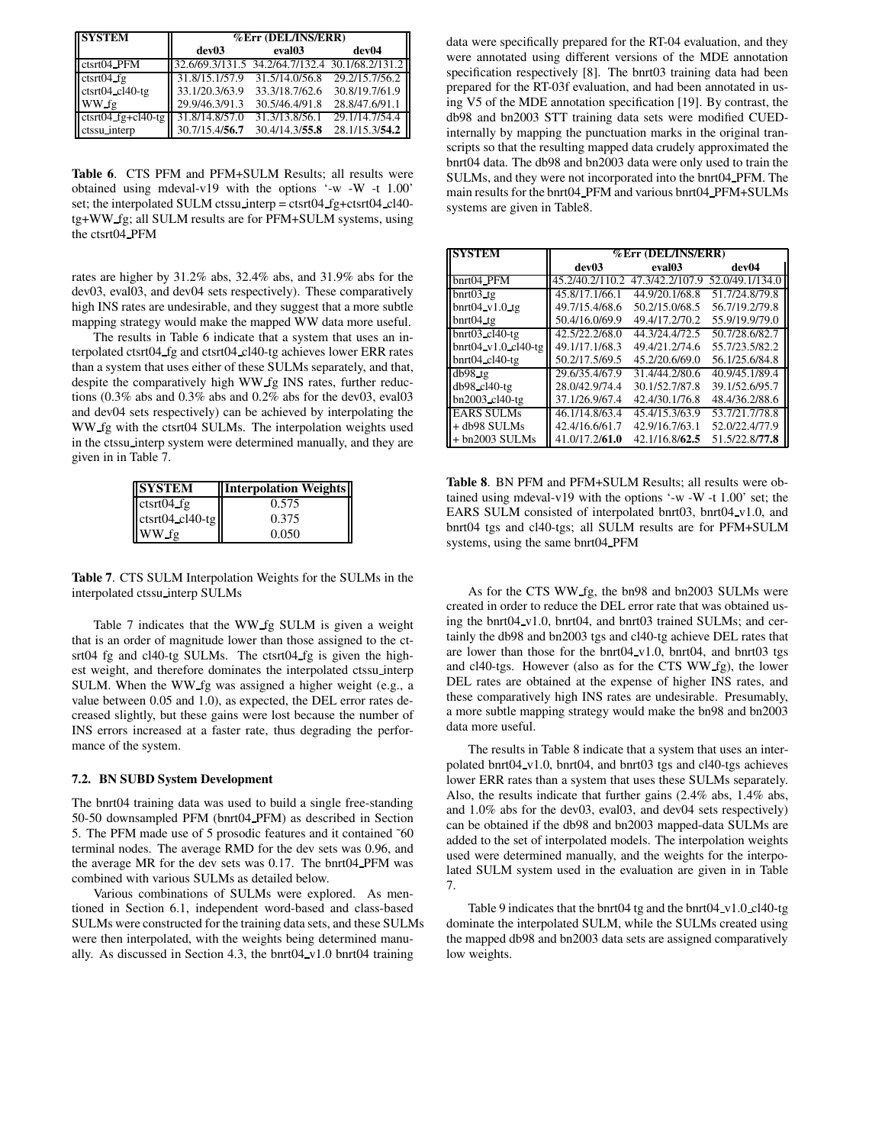| <b>SYSTEM</b>             | %Err (DEL/INS/ERR)                              |                    |                |  |
|---------------------------|-------------------------------------------------|--------------------|----------------|--|
|                           | dev03                                           | eval <sub>03</sub> | dev04          |  |
| ctstr <sub>04</sub> PFM   | 32.6/69.3/131.5 34.2/64.7/132.4 30.1/68.2/131.2 |                    |                |  |
| $ctstr04$ fg              | 31.8/15.1/57.9                                  | 31.5/14.0/56.8     | 29.2/15.7/56.2 |  |
| $ctsrt04$ $cl40-tg$       | 33.1/20.3/63.9                                  | 33.3/18.7/62.6     | 30.8/19.7/61.9 |  |
| WW fg                     | 29.9/46.3/91.3                                  | 30.5/46.4/91.8     | 28.8/47.6/91.1 |  |
| $ctsrt04_f$ = $tgl40-tgl$ | 31.8/14.8/57.0                                  | 31.3/13.8/56.1     | 29.1/14.7/54.4 |  |
| ctssu interp              | 30.7/15.4/56.7                                  | 30.4/14.3/55.8     | 28.1/15.3/54.2 |  |

**Table 6**. CTS PFM and PFM+SULM Results; all results were obtained using mdeval-v19 with the options '-w -W -t 1.00' set; the interpolated SULM ctssu\_interp = ctsrt04\_fg+ctsrt04\_cl40tg+WW fg; all SULM results are for PFM+SULM systems, using the ctsrt04 PFM

rates are higher by 31.2% abs, 32.4% abs, and 31.9% abs for the dev03, eval03, and dev04 sets respectively). These comparatively high INS rates are undesirable, and they suggest that a more subtle mapping strategy would make the mapped WW data more useful.

The results in Table 6 indicate that a system that uses an interpolated ctsrt04 fg and ctsrt04 cl40-tg achieves lower ERR rates than a system that uses either of these SULMs separately, and that, despite the comparatively high WW fg INS rates, further reductions (0.3% abs and 0.3% abs and 0.2% abs for the dev03, eval03 and dev04 sets respectively) can be achieved by interpolating the WW fg with the ctsrt04 SULMs. The interpolation weights used in the ctssu interp system were determined manually, and they are given in in Table 7.

| <b>SYSTEM</b>                             | <b>Interpolation Weights</b> |
|-------------------------------------------|------------------------------|
| $ctstr04_f$                               | 0.575                        |
| $\text{ctstr}04 \text{ c}140 \text{ -tg}$ | 0.375                        |
| WW fg                                     | 0.050                        |

**Table 7**. CTS SULM Interpolation Weights for the SULMs in the interpolated ctssu interp SULMs

Table 7 indicates that the WW fg SULM is given a weight that is an order of magnitude lower than those assigned to the ctsrt04 fg and cl40-tg SULMs. The ctsrt04 fg is given the highest weight, and therefore dominates the interpolated ctssu interp SULM. When the WW fg was assigned a higher weight (e.g., a value between 0.05 and 1.0), as expected, the DEL error rates decreased slightly, but these gains were lost because the number of INS errors increased at a faster rate, thus degrading the performance of the system.

# **7.2. BN SUBD System Development**

The bnrt04 training data was used to build a single free-standing 50-50 downsampled PFM (bnrt04 PFM) as described in Section 5. The PFM made use of 5 prosodic features and it contained ~60 terminal nodes. The average RMD for the dev sets was 0.96, and the average MR for the dev sets was 0.17. The bnrt04 PFM was combined with various SULMs as detailed below.

Various combinations of SULMs were explored. As mentioned in Section 6.1, independent word-based and class-based SULMs were constructed for the training data sets, and these SULMs were then interpolated, with the weights being determined manually. As discussed in Section 4.3, the bnrt04 v1.0 bnrt04 training

data were specifically prepared for the RT-04 evaluation, and they were annotated using different versions of the MDE annotation specification respectively [8]. The bnrt03 training data had been prepared for the RT-03f evaluation, and had been annotated in using V5 of the MDE annotation specification [19]. By contrast, the db98 and bn2003 STT training data sets were modified CUEDinternally by mapping the punctuation marks in the original transcripts so that the resulting mapped data crudely approximated the bnrt04 data. The db98 and bn2003 data were only used to train the SULMs, and they were not incorporated into the bnrt04 PFM. The main results for the bnrt04 PFM and various bnrt04 PFM+SULMs systems are given in Table8.

| <b>SYSTEM</b>                       | %Err (DEL/INS/ERR) |                    |                 |  |
|-------------------------------------|--------------------|--------------------|-----------------|--|
|                                     | dev03              | eval <sub>03</sub> | dev04           |  |
| bnrt04_PFM                          | 45.2/40.2/110.2    | 47.3/42.2/107.9    | 52.0/49.1/134.0 |  |
| $b$ nrt $03$ <sub>tg</sub>          | 45.8/17.1/66.1     | 44.9/20.1/68.8     | 51.7/24.8/79.8  |  |
| $b$ nrt $04$ v $1.0$ tg             | 49.7/15.4/68.6     | 50.2/15.0/68.5     | 56.7/19.2/79.8  |  |
| $b$ nrt $04$ _tg                    | 50.4/16.0/69.9     | 49.4/17.2/70.2     | 55.9/19.9/79.0  |  |
| $b$ nrt $03$ , cl $40$ -tg          | 42.5/22.2/68.0     | 44.3/24.4/72.5     | 50.7/28.6/82.7  |  |
| $b$ nrt $04$ v $1.0$ cl $40$ -tg    | 49.1/17.1/68.3     | 49.4/21.2/74.6     | 55.7/23.5/82.2  |  |
| $b$ nrt $04$ <sub>cl</sub> $40$ -tg | 50.2/17.5/69.5     | 45.2/20.6/69.0     | 56.1/25.6/84.8  |  |
| $db98$ <sub>tg</sub>                | 29.6/35.4/67.9     | 31.4/44.2/80.6     | 40.9/45.1/89.4  |  |
| db98 cl40-tg                        | 28.0/42.9/74.4     | 30.1/52.7/87.8     | 39.1/52.6/95.7  |  |
| bn2003_cl40-tg                      | 37.1/26.9/67.4     | 42.4/30.1/76.8     | 48.4/36.2/88.6  |  |
| <b>EARS SULMs</b>                   | 46.1/14.8/63.4     | 45.4/15.3/63.9     | 53.7/21.7/78.8  |  |
| + db98 SULMs                        | 42.4/16.6/61.7     | 42.9/16.7/63.1     | 52.0/22.4/77.9  |  |
| $+$ bn2003 SULMs                    | 41.0/17.2/61.0     | 42.1/16.8/62.5     | 51.5/22.8/77.8  |  |

**Table 8**. BN PFM and PFM+SULM Results; all results were obtained using mdeval-v19 with the options '-w -W -t 1.00' set; the EARS SULM consisted of interpolated bnrt03, bnrt04 v1.0, and bnrt04 tgs and cl40-tgs; all SULM results are for PFM+SULM systems, using the same bnrt04\_PFM

As for the CTS WW fg, the bn98 and bn2003 SULMs were created in order to reduce the DEL error rate that was obtained using the bnrt04 v1.0, bnrt04, and bnrt03 trained SULMs; and certainly the db98 and bn2003 tgs and cl40-tg achieve DEL rates that are lower than those for the bnrt04\_v1.0, bnrt04, and bnrt03 tgs and cl40-tgs. However (also as for the CTS WW fg), the lower DEL rates are obtained at the expense of higher INS rates, and these comparatively high INS rates are undesirable. Presumably, a more subtle mapping strategy would make the bn98 and bn2003 data more useful.

The results in Table 8 indicate that a system that uses an interpolated bnrt04 v1.0, bnrt04, and bnrt03 tgs and cl40-tgs achieves lower ERR rates than a system that uses these SULMs separately. Also, the results indicate that further gains (2.4% abs, 1.4% abs, and 1.0% abs for the dev03, eval03, and dev04 sets respectively) can be obtained if the db98 and bn2003 mapped-data SULMs are added to the set of interpolated models. The interpolation weights used were determined manually, and the weights for the interpolated SULM system used in the evaluation are given in in Table 7.

Table 9 indicates that the bnrt04 tg and the bnrt04 v1.0 cl40-tg dominate the interpolated SULM, while the SULMs created using the mapped db98 and bn2003 data sets are assigned comparatively low weights.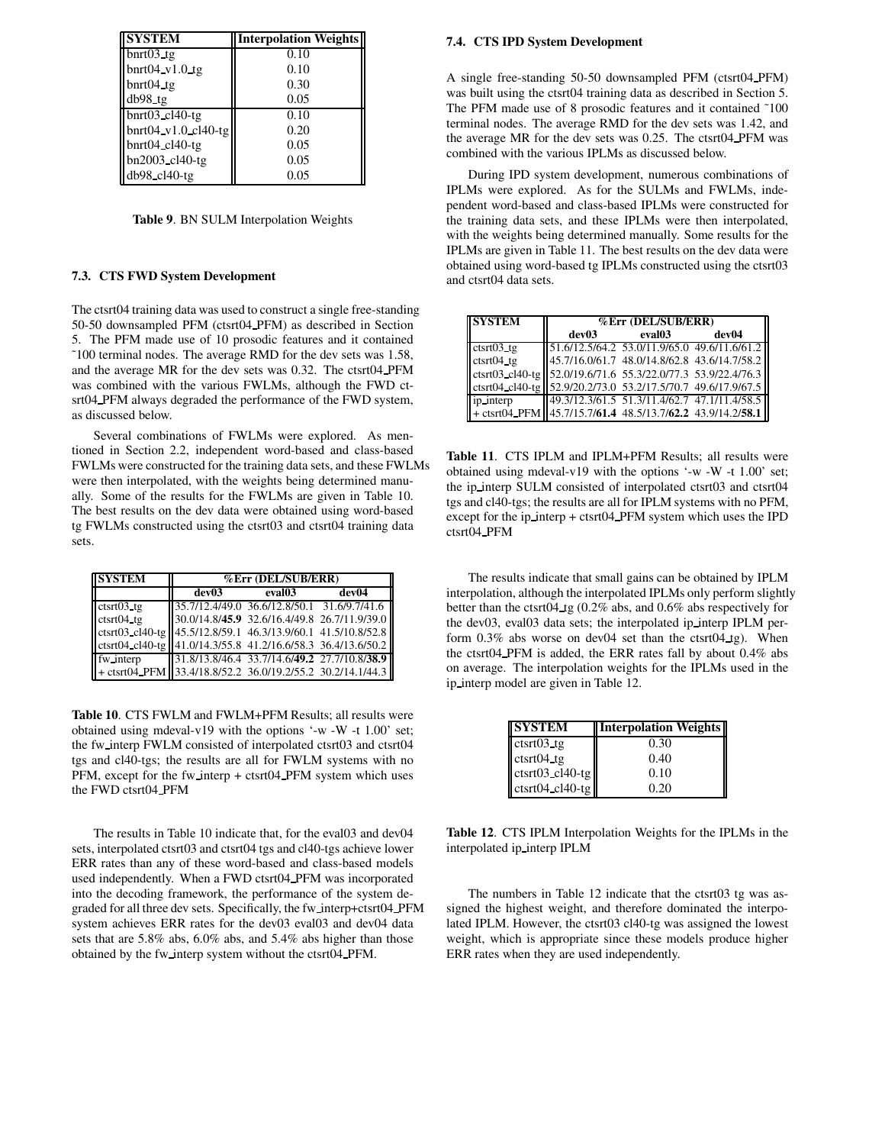| <b>SYSTEM</b>              | <b>Interpolation Weights</b> |
|----------------------------|------------------------------|
| $b$ nrt $03$ _tg           | 0.10                         |
| $b$ nrt $04$ v1.0 tg       | 0.10                         |
| $b$ nrt $04$ _tg           | 0.30                         |
| $db98_1tg$                 | 0.05                         |
| $b$ nrt $03$ cl $40$ -tg   | 0.10                         |
| bnrt $04$ v1.0 cl $40$ -tg | 0.20                         |
| $b$ nrt $04$ _cl $40$ -tg  | 0.05                         |
| bn2003_cl40-tg             | 0.05                         |
| db98_cl40-tg               | 0.05                         |

**Table 9**. BN SULM Interpolation Weights

# **7.3. CTS FWD System Development**

The ctsrt04 training data was used to construct a single free-standing 50-50 downsampled PFM (ctsrt04 PFM) as described in Section 5. The PFM made use of 10 prosodic features and it contained ˜100 terminal nodes. The average RMD for the dev sets was 1.58, and the average MR for the dev sets was 0.32. The ctsrt04 PFM was combined with the various FWLMs, although the FWD ctsrt04 PFM always degraded the performance of the FWD system, as discussed below.

Several combinations of FWLMs were explored. As mentioned in Section 2.2, independent word-based and class-based FWLMs were constructed for the training data sets, and these FWLMs were then interpolated, with the weights being determined manually. Some of the results for the FWLMs are given in Table 10. The best results on the dev data were obtained using word-based tg FWLMs constructed using the ctsrt03 and ctsrt04 training data sets.

| <b>SYSTEM</b>                                                  | %Err (DEL/SUB/ERR)                           |        |       |
|----------------------------------------------------------------|----------------------------------------------|--------|-------|
|                                                                | dev03                                        | eval03 | dev04 |
| $ctstr03_t$                                                    | 35.7/12.4/49.0 36.6/12.8/50.1 31.6/9.7/41.6  |        |       |
| $ctsrt04_t$                                                    | 30.0/14.8/45.9 32.6/16.4/49.8 26.7/11.9/39.0 |        |       |
| ctsrt03_cl40-tg 45.5/12.8/59.1 46.3/13.9/60.1 41.5/10.8/52.8   |                                              |        |       |
| ctsrt04_cl40-tg   41.0/14.3/55.8 41.2/16.6/58.3 36.4/13.6/50.2 |                                              |        |       |
| fw interp                                                      | 31.8/13.8/46.4 33.7/14.6/49.2 27.7/10.8/38.9 |        |       |
| + ctsrt04 PFM 33.4/18.8/52.2 36.0/19.2/55.2 30.2/14.1/44.3     |                                              |        |       |

**Table 10**. CTS FWLM and FWLM+PFM Results; all results were obtained using mdeval-v19 with the options '-w -W -t 1.00' set; the fw interp FWLM consisted of interpolated ctsrt03 and ctsrt04 tgs and cl40-tgs; the results are all for FWLM systems with no PFM, except for the fw interp + ctsrt04 PFM system which uses the FWD ctsrt04 PFM

The results in Table 10 indicate that, for the eval03 and dev04 sets, interpolated ctsrt03 and ctsrt04 tgs and cl40-tgs achieve lower ERR rates than any of these word-based and class-based models used independently. When a FWD ctsrt04 PFM was incorporated into the decoding framework, the performance of the system degraded for all three dev sets. Specifically, the fw interp+ctsrt04 PFM system achieves ERR rates for the dev03 eval03 and dev04 data sets that are 5.8% abs, 6.0% abs, and 5.4% abs higher than those obtained by the fw interp system without the ctsrt04 PFM.

### **7.4. CTS IPD System Development**

A single free-standing 50-50 downsampled PFM (ctsrt04 PFM) was built using the ctsrt04 training data as described in Section 5. The PFM made use of 8 prosodic features and it contained ˜100 terminal nodes. The average RMD for the dev sets was 1.42, and the average MR for the dev sets was 0.25. The ctsrt04 PFM was combined with the various IPLMs as discussed below.

During IPD system development, numerous combinations of IPLMs were explored. As for the SULMs and FWLMs, independent word-based and class-based IPLMs were constructed for the training data sets, and these IPLMs were then interpolated, with the weights being determined manually. Some results for the IPLMs are given in Table 11. The best results on the dev data were obtained using word-based tg IPLMs constructed using the ctsrt03 and ctsrt04 data sets.

| <b>SYSTEM</b>                                                                                                                | %Err (DEL/SUB/ERR)                           |        |       |
|------------------------------------------------------------------------------------------------------------------------------|----------------------------------------------|--------|-------|
|                                                                                                                              | dev03                                        | eval03 | dev04 |
| $ctsrt03$ , tg                                                                                                               | 51.6/12.5/64.2 53.0/11.9/65.0 49.6/11.6/61.2 |        |       |
| $ctsrt04$ tg                                                                                                                 | 45.7/16.0/61.7 48.0/14.8/62.8 43.6/14.7/58.2 |        |       |
|                                                                                                                              |                                              |        |       |
| ctsrt03_cl40-tg 52.0/19.6/71.6 55.3/22.0/77.3 53.9/22.4/76.3<br>ctsrt04_cl40-tg 52.9/20.2/73.0 53.2/17.5/70.7 49.6/17.9/67.5 |                                              |        |       |
| ip interp                                                                                                                    | 49.3/12.3/61.5 51.3/11.4/62.7 47.1/11.4/58.5 |        |       |
| $\left  + \text{ctsrt04_PFM} \right $ 45.7/15.7/61.4 48.5/13.7/62.2 43.9/14.2/58.1                                           |                                              |        |       |

**Table 11**. CTS IPLM and IPLM+PFM Results; all results were obtained using mdeval-v19 with the options '-w -W -t 1.00' set; the ip interp SULM consisted of interpolated ctsrt03 and ctsrt04 tgs and cl40-tgs; the results are all for IPLM systems with no PFM, except for the ip interp + ctsrt04 PFM system which uses the IPD ctsrt04 PFM

The results indicate that small gains can be obtained by IPLM interpolation, although the interpolated IPLMs only perform slightly better than the ctsrt04 tg (0.2% abs, and 0.6% abs respectively for the dev03, eval03 data sets; the interpolated ip\_interp IPLM perform 0.3% abs worse on dev04 set than the ctsrt04 tg). When the ctsrt04 PFM is added, the ERR rates fall by about 0.4% abs on average. The interpolation weights for the IPLMs used in the ip interp model are given in Table 12.

| <b>SYSTEM</b>     | <b>Interpolation Weights</b> |
|-------------------|------------------------------|
| $ctstr03$ tg      | 0.30                         |
| $ctstr04_t$       | 0.40                         |
| ctsrt03_cl40-tg   | 0.10                         |
| $ctstr04$ cl40-tg | 0.20                         |

**Table 12**. CTS IPLM Interpolation Weights for the IPLMs in the interpolated ip interp IPLM

The numbers in Table 12 indicate that the ctsrt03 tg was assigned the highest weight, and therefore dominated the interpolated IPLM. However, the ctsrt03 cl40-tg was assigned the lowest weight, which is appropriate since these models produce higher ERR rates when they are used independently.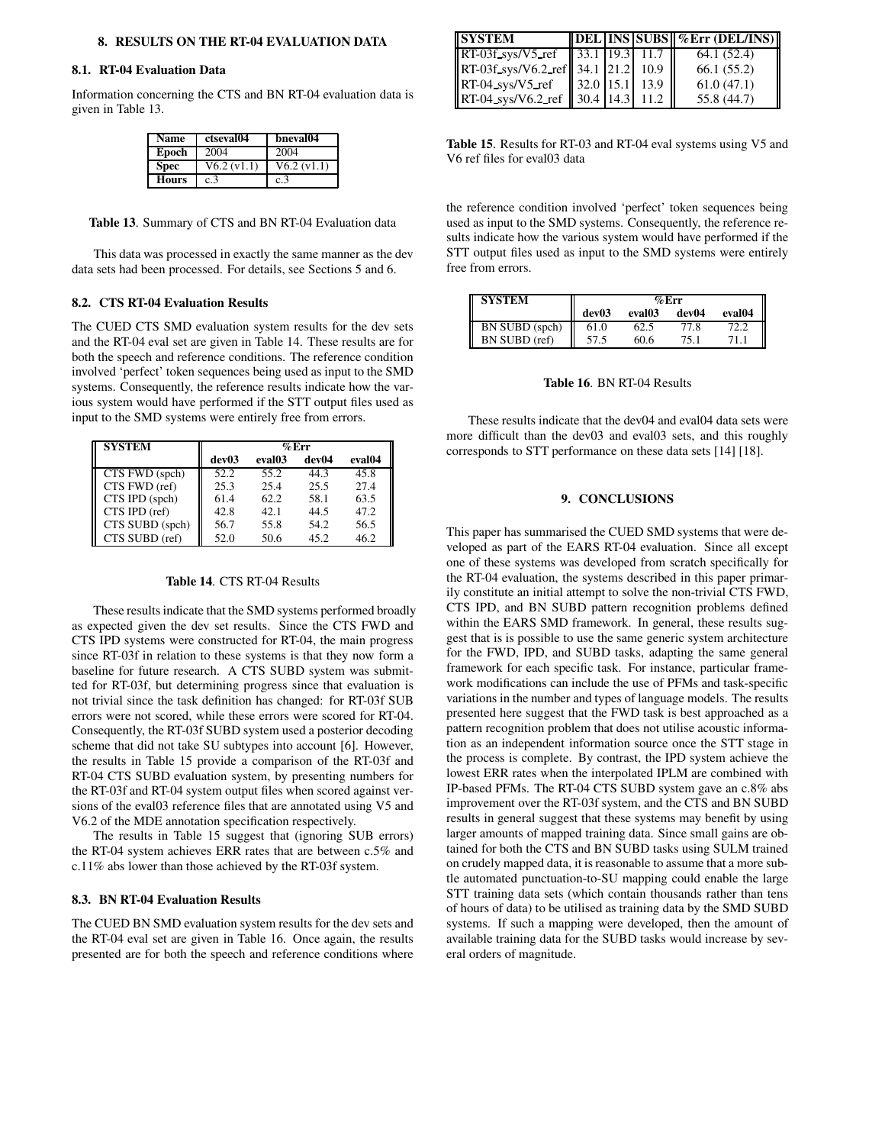### **8. RESULTS ON THE RT-04 EVALUATION DATA**

### **8.1. RT-04 Evaluation Data**

Information concerning the CTS and BN RT-04 evaluation data is given in Table 13.

| <b>Name</b>  | ctseval04   | bneval04    |
|--------------|-------------|-------------|
| Epoch        | 2004        | 2004        |
| <b>Spec</b>  | V6.2 (v1.1) | V6.2 (v1.1) |
| <b>Hours</b> | c.3         | c.3         |

|  | Table 13. Summary of CTS and BN RT-04 Evaluation data |  |  |  |  |
|--|-------------------------------------------------------|--|--|--|--|
|--|-------------------------------------------------------|--|--|--|--|

This data was processed in exactly the same manner as the dev data sets had been processed. For details, see Sections 5 and 6.

## **8.2. CTS RT-04 Evaluation Results**

The CUED CTS SMD evaluation system results for the dev sets and the RT-04 eval set are given in Table 14. These results are for both the speech and reference conditions. The reference condition involved 'perfect' token sequences being used as input to the SMD systems. Consequently, the reference results indicate how the various system would have performed if the STT output files used as input to the SMD systems were entirely free from errors.

| <b>SYSTEM</b>   | $\%$ Err |                    |       |                    |  |
|-----------------|----------|--------------------|-------|--------------------|--|
|                 | dev03    | eval <sub>03</sub> | dev04 | eval <sub>04</sub> |  |
| CTS FWD (spch)  | 52.2     | 55.2               | 44.3  | 45.8               |  |
| CTS FWD (ref)   | 25.3     | 25.4               | 25.5  | 27.4               |  |
| CTS IPD (spch)  | 61.4     | 62.2               | 58.1  | 63.5               |  |
| CTS IPD (ref)   | 42.8     | 42.1               | 44.5  | 47.2               |  |
| CTS SUBD (spch) | 56.7     | 55.8               | 54.2  | 56.5               |  |
| CTS SUBD (ref)  | 52.0     | 50.6               | 45.2  | 46.2               |  |

# **Table 14**. CTS RT-04 Results

These results indicate that the SMD systems performed broadly as expected given the dev set results. Since the CTS FWD and CTS IPD systems were constructed for RT-04, the main progress since RT-03f in relation to these systems is that they now form a baseline for future research. A CTS SUBD system was submitted for RT-03f, but determining progress since that evaluation is not trivial since the task definition has changed: for RT-03f SUB errors were not scored, while these errors were scored for RT-04. Consequently, the RT-03f SUBD system used a posterior decoding scheme that did not take SU subtypes into account [6]. However, the results in Table 15 provide a comparison of the RT-03f and RT-04 CTS SUBD evaluation system, by presenting numbers for the RT-03f and RT-04 system output files when scored against versions of the eval03 reference files that are annotated using V5 and V6.2 of the MDE annotation specification respectively.

The results in Table 15 suggest that (ignoring SUB errors) the RT-04 system achieves ERR rates that are between c.5% and c.11% abs lower than those achieved by the RT-03f system.

#### **8.3. BN RT-04 Evaluation Results**

The CUED BN SMD evaluation system results for the dev sets and the RT-04 eval set are given in Table 16. Once again, the results presented are for both the speech and reference conditions where

| <b>SYSTEM</b>                                                                    |  | $\ $ DEL INS SUBS $\%$ Err (DEL/INS) |
|----------------------------------------------------------------------------------|--|--------------------------------------|
| $\left \right $ RT-03f sys/V5 ref $\left \right $ 33.1 19.3 11.7 $\left \right $ |  | 64.1 (52.4)                          |
| $\ $ RT-03f_sys/V6.2_ref $\ $ 34.1 $\ $ 21.2 $\ $ 10.9                           |  | 66.1(55.2)                           |
| $\ RT-04_{SVs}/V5_{ref}\ $ 32.0 15.1 13.9                                        |  | 61.0(47.1)                           |
| $\ RT-04$ _sys/V6.2_ref $\ 30.4\ 14.3\ 11.2$                                     |  | 55.8 (44.7)                          |

**Table 15**. Results for RT-03 and RT-04 eval systems using V5 and V6 ref files for eval03 data

the reference condition involved 'perfect' token sequences being used as input to the SMD systems. Consequently, the reference results indicate how the various system would have performed if the STT output files used as input to the SMD systems were entirely free from errors.

| <b>SYSTEM</b>         | $\%$ Err |        |       |        |
|-----------------------|----------|--------|-------|--------|
|                       | dev03    | eval03 | dev04 | eval04 |
| <b>BN SUBD</b> (spch) | 61.0     | 62.5   | 77.8  |        |
| BN SUBD (ref)         | 57.5     | 60.6   | 75.1  | 71 L.  |

#### **Table 16**. BN RT-04 Results

These results indicate that the dev04 and eval04 data sets were more difficult than the dev03 and eval03 sets, and this roughly corresponds to STT performance on these data sets [14] [18].

# **9. CONCLUSIONS**

This paper has summarised the CUED SMD systems that were developed as part of the EARS RT-04 evaluation. Since all except one of these systems was developed from scratch specifically for the RT-04 evaluation, the systems described in this paper primarily constitute an initial attempt to solve the non-trivial CTS FWD, CTS IPD, and BN SUBD pattern recognition problems defined within the EARS SMD framework. In general, these results suggest that is is possible to use the same generic system architecture for the FWD, IPD, and SUBD tasks, adapting the same general framework for each specific task. For instance, particular framework modifications can include the use of PFMs and task-specific variations in the number and types of language models. The results presented here suggest that the FWD task is best approached as a pattern recognition problem that does not utilise acoustic information as an independent information source once the STT stage in the process is complete. By contrast, the IPD system achieve the lowest ERR rates when the interpolated IPLM are combined with IP-based PFMs. The RT-04 CTS SUBD system gave an c.8% abs improvement over the RT-03f system, and the CTS and BN SUBD results in general suggest that these systems may benefit by using larger amounts of mapped training data. Since small gains are obtained for both the CTS and BN SUBD tasks using SULM trained on crudely mapped data, it isreasonable to assume that a more subtle automated punctuation-to-SU mapping could enable the large STT training data sets (which contain thousands rather than tens of hours of data) to be utilised as training data by the SMD SUBD systems. If such a mapping were developed, then the amount of available training data for the SUBD tasks would increase by several orders of magnitude.